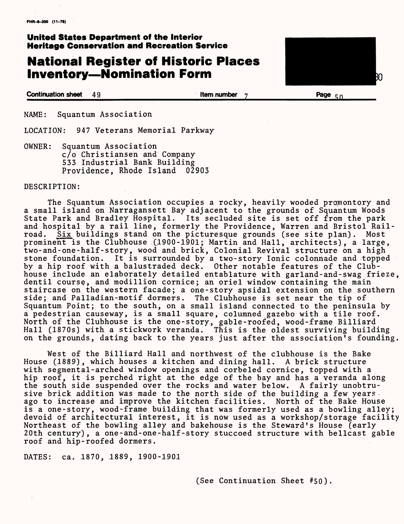## **United States Department of the Interior Heritage Conservation and Recreation Service**

# **National Register of Historic Places Inventory-Nomination Form**



**Continuation sheet 4 9\_\_\_\_\_\_\_\_\_\_\_\_\_\_\_\_\_Item number 7\_\_\_\_\_\_\_\_\_\_\_\_Page c; n\_\_\_\_\_**

NAME: Squantum Association

LOCATION: 947 Veterans Memorial Parkway

OWNER: Squantum Association c/o Christiansen and Company 533 Industrial Bank Building Providence, Rhode Island 02903

#### DESCRIPTION:

The Squantum Association occupies a rocky, heavily wooded promontory and a small island on Narragansett Bay adjacent to the grounds of Squantum Woods State Park and Bradley Hospital. Its secluded site is set off from the park and hospital by a rail line, formerly the Providence, Warren and Bristol Railroad. Six buildings stand on the picturesque grounds (see site plan). Most prominent is the Clubhouse (1900-1901; Martin and Hall, architects), a large, two-and-one-half-story, wood and brick, Colonial Revival structure on a high stone foundation. It is surrounded by a two-story Ionic colonnade and topped by a hip roof with a balustraded deck. Other notable features of the Clubhouse include an elaborately detailed entablature with garland-and-swag frieze, dentil course, and modillion cornice; an oriel window containing the main staircase on the western facade; a one-story apsidal extension on the southern side; and Palladian-motif dormers. The Clubhouse is set near the tip of Squantum Point; to the south, on a small island connected to the peninsula by a pedestrian causeway, is a small square, columned gazebo with a tile roof. North of the Clubhouse is the one-story, gable-roofed, wood-frame Billiard Hall (1870s) with a stickwork veranda. This is the oldest surviving building on the grounds, dating back to the years just after the association's founding.

West of the Billiard Hall and northwest of the clubhouse is the Bake House (1889), which houses a kitchen and dining hall. A brick structure with segmental-arched window openings and corbeled cornice, topped with a hip roof, it is perched right at the edge of the bay and has a veranda along the south side suspended over the rocks and water below. A fairly unobtrusive brick addition was made to the north side of the building a few years. ago to increase and improve the kitchen facilities. North of the Bake House is a one-story, wood-frame building that was formerly used as a bowling alley; devoid of architectural interest, it is now used as a workshop/storage facility Northeast of the bowling alley and bakehouse is the Steward's House (early 20th century), a one-and-one-half-story stuccoed structure with bellcast gable roof and hip-roofed dormers.

DATES: ca. 1870, 1889, 1900-1901

### (See Continuation Sheet #50)